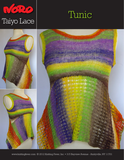